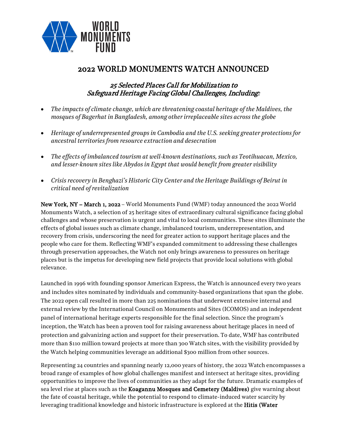

# 2022 WORLD MONUMENTS WATCH ANNOUNCED

## 25 Selected Places Call for Mobilization to Safeguard Heritage Facing Global Challenges, Including:

- *The impacts of climate change, which are threatening coastal heritage of the Maldives, the mosques of Bagerhat in Bangladesh, among otherirreplaceable sites across the globe*
- *Heritage of underrepresented groups in Cambodia and the U.S. seeking greater protections for ancestral territories from resource extraction and desecration*
- *The effects of imbalanced tourism at well-known destinations, such as Teotihuacan, Mexico, and lesser-known sites like Abydos in Egypt that would benefit from greater visibility*
- *Crisis recovery in Benghazi's Historic City Center and the Heritage Buildings of Beirut in critical need of revitalization*

New York, NY – March 1, 2022 – World Monuments Fund (WMF) today announced the 2022 World Monuments Watch, a selection of 25 heritage sites of extraordinary cultural significance facing global challenges and whose preservation is urgent and vital to local communities. These sites illuminate the effects of global issues such as climate change, imbalanced tourism, underrepresentation, and recovery from crisis, underscoring the need for greater action to support heritage places and the people who care for them. Reflecting WMF's expanded commitment to addressing these challenges through preservation approaches, the Watch not only brings awareness to pressures on heritage places but is the impetus for developing new field projects that provide local solutions with global relevance.

Launched in 1996 with founding sponsor American Express, the Watch is announced every two years and includes sites nominated by individuals and community-based organizations that span the globe. The 2022 open call resulted in more than 225 nominations that underwent extensive internal and external review by the International Council on Monuments and Sites (ICOMOS) and an independent panel of international heritage experts responsible for the final selection. Since the program's inception, the Watch has been a proven tool for raising awareness about heritage places in need of protection and galvanizing action and support for their preservation. To date, WMF has contributed more than \$110 million toward projects at more than 300 Watch sites, with the visibility provided by the Watch helping communities leverage an additional \$300 million from other sources.

Representing 24 countries and spanning nearly 12,000 years of history, the 2022 Watch encompasses a broad range of examples of how global challenges manifest and intersect at heritage sites, providing opportunities to improve the lives of communities as they adapt for the future. Dramatic examples of sea level rise at places such as the **Koagannu Mosques and Cemetery (Maldives)** give warning about the fate of coastal heritage, while the potential to respond to climate-induced water scarcity by leveraging traditional knowledge and historic infrastructure is explored at the **Hitis (Water**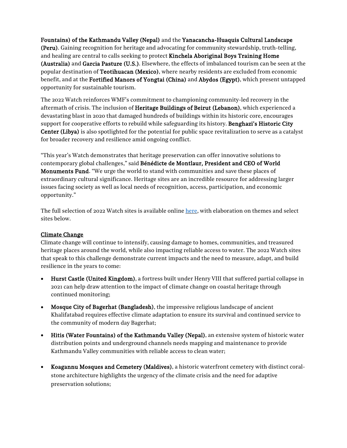[Fountains\) of the Kathmandu Valley \(Nepal\) a](https://www.wmf.org/project/hitis-water-fountains-kathmandu-valley)nd the [Yanacancha-Huaquis Cultural Landscape](https://www.wmf.org/project/yanacancha-huaquis-cultural-landscape)  [\(Peru\).](https://www.wmf.org/project/yanacancha-huaquis-cultural-landscape) Gaining recognition for heritage and advocating for community stewardship, truth-telling, and healing are central to calls seeking to protect [Kinchela Aboriginal Boys Training Home](https://www.wmf.org/project/kinchela-aboriginal-boys-training-home)  [\(Australia\)](https://www.wmf.org/project/kinchela-aboriginal-boys-training-home) and [Garcia Pasture \(U.S.\).](https://www.wmf.org/project/garcia-pasture) Elsewhere, the effects of imbalanced tourism can be seen at the popular destination of [Teotihuacan \(Mexico\),](https://www.wmf.org/project/teotihuacan) where nearby residents are excluded from economic benefit, and at the [Fortified Manors of Yongtai \(China\)](https://www.wmf.org/project/fortified-manors-yongtai) and [Abydos \(Egypt\),](https://www.wmf.org/project/abydos) which present untapped opportunity for sustainable tourism.

The 2022 Watch reinforces WMF's commitment to championing community-led recovery in the aftermath of crisis. The inclusion of [Heritage Buildings of](https://www.wmf.org/project/heritage-buildings-beirut) Beirut (Lebanon), which experienced a devastating blast in 2020 that damaged hundreds of buildings within its historic core, encourages support for cooperative efforts to rebuild while safeguarding its history. Benghazi's Historic City [Center \(Libya\)](https://www.wmf.org/project/benghazi-historic-city-center) is also spotlighted for the potential for public space revitalization to serve as a catalyst for broader recovery and resilience amid ongoing conflict.

"This year's Watch demonstrates that heritage preservation can offer innovative solutions to contemporary global challenges," said Bénédicte de Montlaur, President and CEO of World Monuments Fund. "We urge the world to stand with communities and save these places of extraordinary cultural significance. Heritage sites are an incredible resource for addressing larger issues facing society as well as local needs of recognition, access, participation, and economic opportunity."

The full selection of 2022 Watch sites is available online [here,](https://www.dropbox.com/s/fm733v88fp8l929/FINAL%202022%20Watch%20Sites.pdf?dl=0) with elaboration on themes and select sites below.

### Climate Change

Climate change will continue to intensify, causing damage to homes, communities, and treasured heritage places around the world, while also impacting reliable access to water. The 2022 Watch sites that speak to this challenge demonstrate current impacts and the need to measure, adapt, and build resilience in the years to come:

- [Hurst Castle \(United Kingdom\),](https://www.wmf.org/project/hurst-castle) a fortress built under Henry VIII that suffered partial collapse in 2021 can help draw attention to the impact of climate change on coastal heritage through continued monitoring;
- [Mosque City of Bagerhat \(Bangladesh\),](https://www.wmf.org/project/mosque-city-bagerhat) the impressive religious landscape of ancient Khalifatabad requires effective climate adaptation to ensure its survival and continued service to the community of modern day Bagerhat;
- [Hitis \(Water Fountains\) of the Kathmandu Valley \(Nepal\),](https://www.wmf.org/project/hitis-water-fountains-kathmandu-valley) an extensive system of historic water distribution points and underground channels needs mapping and maintenance to provide Kathmandu Valley communities with reliable access to clean water;
- [Koagannu Mosques and Cemetery \(Maldives\),](https://www.wmf.org/project/koagannu-mosques-and-cemetery) a historic waterfront cemetery with distinct coralstone architecture highlights the urgency of the climate crisis and the need for adaptive preservation solutions;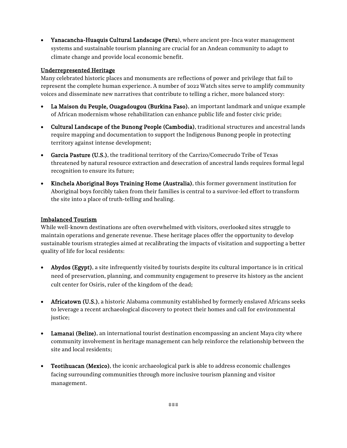• [Yanacancha-Huaquis Cultural Landscape \(Peru\),](https://www.wmf.org/project/yanacancha-huaquis-cultural-landscape) where ancient pre-Inca water management systems and sustainable tourism planning are crucial for an Andean community to adapt to climate change and provide local economic benefit.

#### Underrepresented Heritage

Many celebrated historic places and monuments are reflections of power and privilege that fail to represent the complete human experience. A number of 2022 Watch sites serve to amplify community voices and disseminate new narratives that contribute to telling a richer, more balanced story:

- [La Maison du Peuple, Ouagadougou \(Burkina Faso\),](https://www.wmf.org/project/la-maison-du-peuple-ouagadougou) an important landmark and unique example of African modernism whose rehabilitation can enhance public life and foster civic pride;
- [Cultural Landscape of the Bunong People \(Cambodia\),](https://www.wmf.org/project/cultural-landscape-bunong-people) traditional structures and ancestral lands require mapping and documentation to support the Indigenous Bunong people in protecting territory against intense development;
- [Garcia Pasture \(U.S.\),](https://www.wmf.org/project/garcia-pasture) the traditional territory of the Carrizo/Comecrudo Tribe of Texas threatened by natural resource extraction and desecration of ancestral lands requires formal legal recognition to ensure its future;
- [Kinchela Aboriginal Boys Training Home \(Australia\),](https://www.wmf.org/project/kinchela-aboriginal-boys-training-home) this former government institution for Aboriginal boys forcibly taken from their families is central to a survivor-led effort to transform the site into a place of truth-telling and healing.

#### Imbalanced Tourism

While well-known destinations are often overwhelmed with visitors, overlooked sites struggle to maintain operations and generate revenue. These heritage places offer the opportunity to develop sustainable tourism strategies aimed at recalibrating the impacts of visitation and supporting a better quality of life for local residents:

- [Abydos \(Egypt\),](https://www.wmf.org/project/abydos) a site infrequently visited by tourists despite its cultural importance is in critical need of preservation, planning, and community engagement to preserve its history as the ancient cult center for Osiris, ruler of the kingdom of the dead;
- [Africatown \(U.S.\),](https://www.wmf.org/project/africatown) a historic Alabama community established by formerly enslaved Africans seeks to leverage a recent archaeological discovery to protect their homes and call for environmental justice;
- [Lamanai \(Belize\),](https://www.wmf.org/project/lamanai) an international tourist destination encompassing an ancient Maya city where community involvement in heritage management can help reinforce the relationship between the site and local residents;
- [Teotihuacan \(Mexico\),](https://www.wmf.org/project/teotihuacan) the iconic archaeological park is able to address economic challenges facing surrounding communities through more inclusive tourism planning and visitor management.